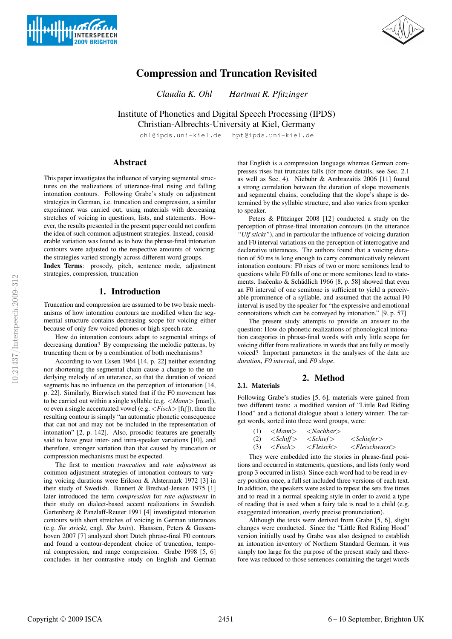



# **Compression and Truncation Revisited**

*Claudia K. Ohl Hartmut R. Pfitzinger*

Institute of Phonetics and Digital Speech Processing (IPDS) Christian-Albrechts-University at Kiel, Germany

ohl@ipds.uni-kiel.de hpt@ipds.uni-kiel.de

# **Abstract**

This paper investigates the influence of varying segmental structures on the realizations of utterance-final rising and falling intonation contours. Following Grabe's study on adjustment strategies in German, i.e. truncation and compression, a similar experiment was carried out, using materials with decreasing stretches of voicing in questions, lists, and statements. However, the results presented in the present paper could not confirm the idea of such common adjustment strategies. Instead, considerable variation was found as to how the phrase-final intonation contours were adjusted to the respective amounts of voicing: the strategies varied strongly across different word groups.

**Index Terms**: prosody, pitch, sentence mode, adjustment strategies, compression, truncation

# **1. Introduction**

Truncation and compression are assumed to be two basic mechanisms of how intonation contours are modified when the segmental structure contains decreasing scope for voicing either because of only few voiced phones or high speech rate.

How do intonation contours adapt to segmental strings of decreasing duration? By compressing the melodic patterns, by truncating them or by a combination of both mechanisms?

According to von Essen 1964 [14, p. 22] neither extending nor shortening the segmental chain cause a change to the underlying melody of an utterance, so that the duration of voiced segments has no influence on the perception of intonation [14, p. 22]. Similarly, Bierwisch stated that if the F0 movement has to be carried out within a single syllable (e.g. <*Mann*> [man]), or even a single accentuated vowel (e.g. <*Fisch*> [f ]), then the resulting contour is simply "an automatic phonetic consequence that can not and may not be included in the representation of intonation" [2, p. 142]. Also, prosodic features are generally said to have great inter- and intra-speaker variations [10], and therefore, stronger variation than that caused by truncation or compression mechanisms must be expected.

The first to mention *truncation* and *rate adjustment* as common adjustment strategies of intonation contours to varying voicing durations were Erikson & Alstermark 1972 [3] in their study of Swedish. Bannert & Bredvad-Jensen 1975 [1] later introduced the term *compression* for *rate adjustment* in their study on dialect-based accent realizations in Swedish. Gartenberg & Panzlaff-Reuter 1991 [4] investigated intonation contours with short stretches of voicing in German utterances (e.g. *Sie strickt*, engl. *She knits*). Hanssen, Peters & Gussenhoven 2007 [7] analyzed short Dutch phrase-final F0 contours and found a contour-dependent choice of truncation, temporal compression, and range compression. Grabe 1998 [5, 6] concludes in her contrastive study on English and German that English is a compression language whereas German compresses rises but truncates falls (for more details, see Sec. 2.1 as well as Sec. 4). Niebuhr & Ambrazaitis 2006 [11] found a strong correlation between the duration of slope movements and segmental chains, concluding that the slope's shape is determined by the syllabic structure, and also varies from speaker to speaker.

Peters & Pfitzinger 2008 [12] conducted a study on the perception of phrase-final intonation contours (in the utterance *"Ulf stickt"*), and in particular the influence of voicing duration and F0 interval variations on the perception of interrogative and declarative utterances. The authors found that a voicing duration of 50 ms is long enough to carry communicatively relevant intonation contours: F0 rises of two or more semitones lead to questions while F0 falls of one or more semitones lead to statements. Isačenko & Schädlich 1966 [8, p. 58] showed that even an F0 interval of one semitone is sufficient to yield a perceivable prominence of a syllable, and assumed that the actual F0 interval is used by the speaker for "the expressive and emotional connotations which can be conveyed by intonation." [9, p. 57]

The present study attempts to provide an answer to the question: How do phonetic realizations of phonological intonation categories in phrase-final words with only little scope for voicing differ from realizations in words that are fully or mostly voiced? Important parameters in the analyses of the data are *duration*, *F0 interval*, and *F0 slope*.

# **2. Method**

# **2.1. Materials**

Following Grabe's studies [5, 6], materials were gained from two different texts: a modified version of "Little Red Riding Hood" and a fictional dialogue about a lottery winner. The target words, sorted into three word groups, were:

| (1) | $\langle Mann \rangle$ | $\langle$ Nachbar $\rangle$ |                                  |
|-----|------------------------|-----------------------------|----------------------------------|
|     | $(2) \leq Schiff$      | $\langle$ Schief $\rangle$  | $\langle Schiefer \rangle$       |
|     | $(3) \leq$ Fisch $>$   | $\langle Fleisch \rangle$   | $\langle$ Fleischwurst $\rangle$ |

They were embedded into the stories in phrase-final positions and occurred in statements, questions, and lists (only word group 3 occurred in lists). Since each word had to be read in every position once, a full set included three versions of each text. In addition, the speakers were asked to repeat the sets five times and to read in a normal speaking style in order to avoid a type of reading that is used when a fairy tale is read to a child (e.g. exaggerated intonation, overly precise pronunciation).

Although the texts were derived from Grabe [5, 6], slight changes were conducted. Since the "Little Red Riding Hood" version initially used by Grabe was also designed to establish an intonation inventory of Northern Standard German, it was simply too large for the purpose of the present study and therefore was reduced to those sentences containing the target words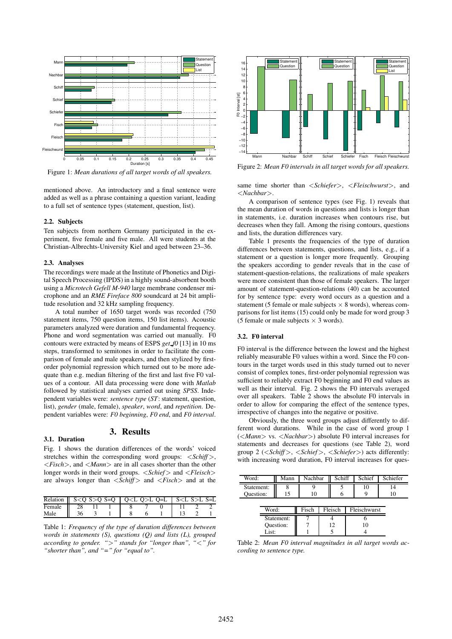

Figure 1: *Mean durations of all target words of all speakers.*

mentioned above. An introductory and a final sentence were added as well as a phrase containing a question variant, leading to a full set of sentence types (statement, question, list).

### **2.2. Subjects**

Ten subjects from northern Germany participated in the experiment, five female and five male. All were students at the Christian-Albrechts-University Kiel and aged between 23–36.

### **2.3. Analyses**

The recordings were made at the Institute of Phonetics and Digital Speech Processing (IPDS) in a highly sound-absorbent booth using a *Microtech Gefell M-940* large membrane condenser microphone and an *RME Fireface 800* soundcard at 24 bit amplitude resolution and 32 kHz sampling frequency.

A total number of 1650 target words was recorded (750 statement items, 750 question items, 150 list items). Acoustic parameters analyzed were duration and fundamental frequency. Phone and word segmentation was carried out manually. F0 contours were extracted by means of ESPS *get f0* [13] in 10 ms steps, transformed to semitones in order to facilitate the comparison of female and male speakers, and then stylized by firstorder polynomial regression which turned out to be more adequate than e.g. median filtering of the first and last five F0 values of a contour. All data processing were done with *Matlab* followed by statistical analyses carried out using *SPSS*. Independent variables were: *sentence type* (*ST*: statement, question, list), *gender* (male, female), *speaker*, *word*, and *repetition*. Dependent variables were: *F0 beginning*, *F0 end*, and *F0 interval*.

#### **3. Results 3.1. Duration**

Fig. 1 shows the duration differences of the words' voiced stretches within the corresponding word groups: <*Schiff* >, <*Fisch*>, and <*Mann*> are in all cases shorter than the other longer words in their word groups. <*Schief* > and <*Fleisch*> are always longer than <*Schiff* > and <*Fisch*> and at the

| Relation $\parallel$ S < O S > O S = O $\parallel$ O < L O > L O = L $\parallel$ S < L S > L S = L |    |  |  |  |  |
|----------------------------------------------------------------------------------------------------|----|--|--|--|--|
| Female II                                                                                          | 28 |  |  |  |  |
| Male                                                                                               |    |  |  |  |  |

Table 1: *Frequency of the type of duration differences between words in statements (S), questions (Q) and lists (L), grouped according to gender. "*>*" stands for "longer than", "*<*" for "shorter than", and "=" for "equal to".*



Figure 2: *Mean F0 intervals in all target words for all speakers.*

same time shorter than <*Schiefer*>, <*Fleischwurst*>, and <*Nachbar*>.

A comparison of sentence types (see Fig. 1) reveals that the mean duration of words in questions and lists is longer than in statements, i.e. duration increases when contours rise, but decreases when they fall. Among the rising contours, questions and lists, the duration differences vary.

Table 1 presents the frequencies of the type of duration differences between statements, questions, and lists, e.g., if a statement or a question is longer more frequently. Grouping the speakers according to gender reveals that in the case of statement-question-relations, the realizations of male speakers were more consistent than those of female speakers. The larger amount of statement-question-relations (40) can be accounted for by sentence type: every word occurs as a question and a statement (5 female or male subjects  $\times$  8 words), whereas comparisons for list items (15) could only be made for word group 3 (5 female or male subjects  $\times$  3 words).

### **3.2. F0 interval**

F0 interval is the difference between the lowest and the highest reliably measurable F0 values within a word. Since the F0 contours in the target words used in this study turned out to never consist of complex tones, first-order polynomial regression was sufficient to reliably extract F0 beginning and F0 end values as well as their interval. Fig. 2 shows the F0 intervals averaged over all speakers. Table 2 shows the absolute F0 intervals in order to allow for comparing the effect of the sentence types, irrespective of changes into the negative or positive.

Obviously, the three word groups adjust differently to different word durations. While in the case of word group 1 (<*Mann*> vs. <*Nachbar*>) absolute F0 interval increases for statements and decreases for questions (see Table 2), word group 2 (<*Schiff* >, <*Schief* >, <*Schiefer*>) acts differently: with increasing word duration, F0 interval increases for ques-

| Word:                            | Mann  | Nachbar |         | Schiff |              | Schief | Schiefer |
|----------------------------------|-------|---------|---------|--------|--------------|--------|----------|
| Statement:<br>Question:          |       | 10      |         |        |              | 10     | 14<br>10 |
| Word:                            | Fisch |         | Fleisch |        | Fleischwurst |        |          |
| Statement:<br>Question:<br>List: |       |         | 12      |        | 10           |        |          |

Table 2: *Mean F0 interval magnitudes in all target words according to sentence type.*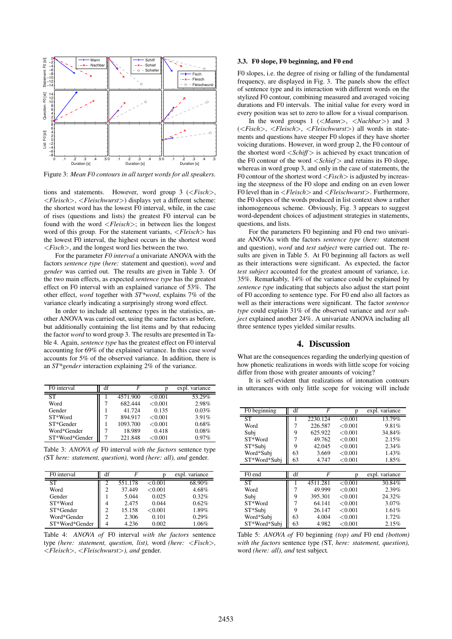

Figure 3: *Mean F0 contours in all target words for all speakers.*

tions and statements. However, word group 3 (<*Fisch*>, <*Fleisch*>, <*Fleischwurst*>) displays yet a different scheme: the shortest word has the lowest F0 interval, while, in the case of rises (questions and lists) the greatest F0 interval can be found with the word <*Fleisch*>; in between lies the longest word of this group. For the statement variants, <*Fleisch*> has the lowest F0 interval, the highest occurs in the shortest word <*Fisch*>, and the longest word lies between the two.

For the parameter *F0 interval* a univariate ANOVA with the factors *sentence type* (*here:* statement and question), *word* and *gender* was carried out. The results are given in Table 3. Of the two main effects, as expected *sentence type* has the greatest effect on F0 interval with an explained variance of 53%. The other effect, *word* together with *ST\*word*, explains 7% of the variance clearly indicating a surprisingly strong word effect.

In order to include all sentence types in the statistics, another ANOVA was carried out, using the same factors as before, but additionally containing the list items and by that reducing the factor *word* to word group 3. The results are presented in Table 4. Again, *sentence type* has the greatest effect on F0 interval accounting for 69% of the explained variance. In this case *word* accounts for 5% of the observed variance. In addition, there is an *ST\*gender* interaction explaining 2% of the variance.

| F0 interval    | df |          |              | expl. variance |
|----------------|----|----------|--------------|----------------|
| ST             |    | 4571.900 | < 0.001      | 53.29%         |
| Word           |    | 682.444  | < 0.001      | 2.98%          |
| Gender         |    | 41.724   | 0.135        | 0.03%          |
| ST*Word        |    | 894.917  | < 0.001      | 3.91%          |
| ST*Gender      |    | 1093.700 | < 0.001      | 0.68%          |
| Word*Gender    |    | 18.989   | 0.418        | 0.08%          |
| ST*Word*Gender |    | 221.848  | $<\!\!0.001$ | 0.97%          |

Table 3: *ANOVA of* F0 interval *with the factors* sentence type *(*ST *here: statement, question),* word *(here: all), and* gender*.*

| F <sub>0</sub> interval | df | F       |         | expl. variance |
|-------------------------|----|---------|---------|----------------|
| <b>ST</b>               |    | 551.178 | < 0.001 | 68.90%         |
| Word                    | 2  | 37.449  | < 0.001 | 4.68%          |
| Gender                  |    | 5.044   | 0.025   | 0.32%          |
| ST*Word                 | 4  | 2.475   | 0.044   | 0.62%          |
| ST*Gender               | っ  | 15.158  | < 0.001 | 1.89%          |
| Word*Gender             | っ  | 2.306   | 0.101   | 0.29%          |
| ST*Word*Gender          |    | 4.236   | 0.002   | $1.06\%$       |

Table 4: *ANOVA of* F0 interval *with the factors* sentence type *(here: statement, question, list),* word *(here:* <*Fisch*>*,* <*Fleisch*>*,* <*Fleischwurst*>*), and* gender*.*

## **3.3. F0 slope, F0 beginning, and F0 end**

F0 slopes, i.e. the degree of rising or falling of the fundamental frequency, are displayed in Fig. 3. The panels show the effect of sentence type and its interaction with different words on the stylized F0 contour, combining measured and averaged voicing durations and F0 intervals. The initial value for every word in every position was set to zero to allow for a visual comparison.

In the word groups 1 (<*Mann*>, <*Nachbar*>) and 3 (<*Fisch*>, <*Fleisch*>, <*Fleischwurst*>) all words in statements and questions have steeper F0 slopes if they have shorter voicing durations. However, in word group 2, the F0 contour of the shortest word <*Schiff* > is achieved by exact truncation of the F0 contour of the word <*Schief* > and retains its F0 slope, whereas in word group 3, and only in the case of statements, the F0 contour of the shortest word <*Fisch*> is adjusted by increasing the steepness of the F0 slope and ending on an even lower F0 level than in <*Fleisch*> and <*Fleischwurst*>. Furthermore, the F0 slopes of the words produced in list context show a rather inhomogeneous scheme. Obviously, Fig. 3 appears to suggest word-dependent choices of adjustment strategies in statements, questions, and lists.

For the parameters F0 beginning and F0 end two univariate ANOVAs with the factors *sentence type* (*here:* statement and question), *word* and *test subject* were carried out. The results are given in Table 5. At F0 beginning all factors as well as their interactions were significant. As expected, the factor *test subject* accounted for the greatest amount of variance, i.e. 35%. Remarkably, 14% of the variance could be explained by *sentence type* indicating that subjects also adjust the start point of F0 according to sentence type. For F0 end also all factors as well as their interactions were significant. The factor *sentence type* could explain 31% of the observed variance and *test subject* explained another 24%. A univariate ANOVA including all three sentence types yielded similar results.

# **4. Discussion**

What are the consequences regarding the underlying question of how phonetic realizations in words with little scope for voicing differ from those with greater amounts of voicing?

It is self-evident that realizations of intonation contours in utterances with only little scope for voicing will include

| $\overline{F0}$ beginning | df | F        | p       | expl. variance |
|---------------------------|----|----------|---------|----------------|
| ST                        | ı  | 2230.124 | < 0.001 | 13.79%         |
| Word                      | 7  | 226.587  | < 0.001 | 9.81%          |
| Subi                      | 9  | 625.922  | < 0.001 | 34.84%         |
| ST*Word                   | 7  | 49.762   | < 0.001 | 2.15%          |
| ST*Subi                   | 9  | 42.045   | < 0.001 | 2.34%          |
| Word*Subj                 | 63 | 3.669    | < 0.001 | 1.43%          |
| ST*Word*Subi              | 63 | 4.747    | < 0.001 | 1.85%          |
|                           |    |          |         |                |
| $\overline{FO}$ end       | df | F        | р       | expl. variance |
| <b>ST</b>                 |    | 4511.281 | < 0.001 | 30.84%         |
| Word                      | 7  | 49.999   | < 0.001 | 2.39%          |
| Subi                      | 9  | 395.301  | < 0.001 | 24.32%         |
| ST*Word                   | 7  | 64.141   | < 0.001 | 3.07%          |
| ST*Subj                   | 9  | 26.147   | < 0.001 | 1.61%          |
| Word*Subj                 | 63 | 4.004    | < 0.001 | 1.72%          |
| ST*Word*Subi              | 63 | 4.982    | < 0.001 | 2.15%          |

Table 5: *ANOVA of* F0 beginning *(top) and* F0 end *(bottom) with the factors* sentence type *(*ST*, here: statement, question),* word *(here: all), and* test subject*.*